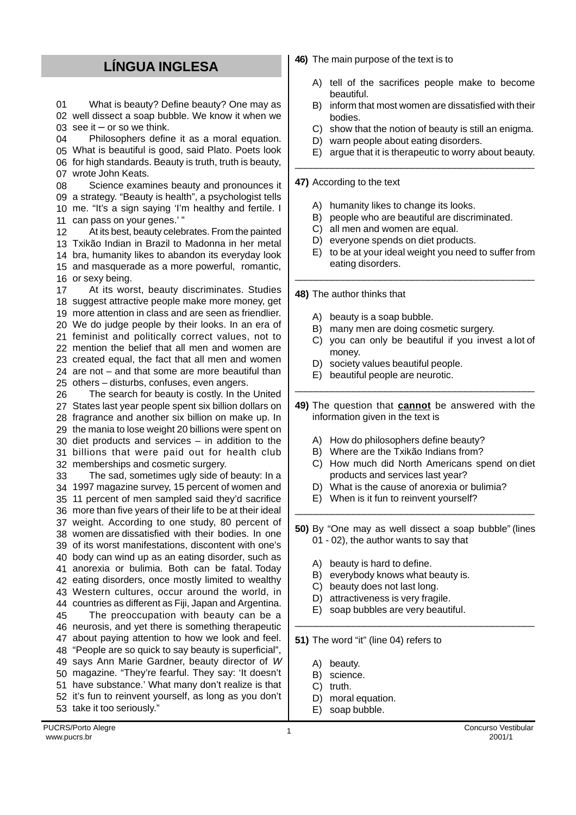## **LÍNGUA INGLESA**

01 02 well dissect a soap bubble. We know it when we 03 see it – or so we think. What is beauty? Define beauty? One may as

04 05 What is beautiful is good, said Plato. Poets look 06 for high standards. Beauty is truth, truth is beauty, 07 wrote John Keats. Philosophers define it as a moral equation.

08 09 a strategy. "Beauty is health", a psychologist tells 10 me. "It's a sign saying 'I'm healthy and fertile. I 11 can pass on your genes.' " Science examines beauty and pronounces it

12 Txikão Indian in Brazil to Madonna in her metal bra, humanity likes to abandon its everyday look and masquerade as a more powerful, romantic, or sexy being. At its best, beauty celebrates. From the painted

17 suggest attractive people make more money, get more attention in class and are seen as friendlier. We do judge people by their looks. In an era of feminist and politically correct values, not to mention the belief that all men and women are created equal, the fact that all men and women are not – and that some are more beautiful than others – disturbs, confuses, even angers. At its worst, beauty discriminates. Studies

26 States last year people spent six billion dollars on fragrance and another six billion on make up. In the mania to lose weight 20 billions were spent on diet products and services – in addition to the billions that were paid out for health club memberships and cosmetic surgery. The search for beauty is costly. In the United

33 1997 magazine survey, 15 percent of women and 11 percent of men sampled said they'd sacrifice more than five years of their life to be at their ideal weight. According to one study, 80 percent of women are dissatisfied with their bodies. In one of its worst manifestations, discontent with one's body can wind up as an eating disorder, such as anorexia or bulimia. Both can be fatal. Today eating disorders, once mostly limited to wealthy Western cultures, occur around the world, in countries as different as Fiji, Japan and Argentina. 45 neurosis, and yet there is something therapeutic about paying attention to how we look and feel. "People are so quick to say beauty is superficial", says Ann Marie Gardner, beauty director of W magazine. "They're fearful. They say: 'It doesn't have substance.' What many don't realize is that it's fun to reinvent yourself, as long as you don't take it too seriously." The sad, sometimes ugly side of beauty: In a The preoccupation with beauty can be a **46)** The main purpose of the text is to

- A) tell of the sacrifices people make to become beautiful.
- B) inform that most women are dissatisfied with their bodies.
- C) show that the notion of beauty is still an enigma.
- D) warn people about eating disorders.
- E) argue that it is therapeutic to worry about beauty.

## **47)** According to the text

- A) humanity likes to change its looks.
- B) people who are beautiful are discriminated.

\_\_\_\_\_\_\_\_\_\_\_\_\_\_\_\_\_\_\_\_\_\_\_\_\_\_\_\_\_\_\_\_\_\_\_\_\_\_\_\_\_\_\_\_\_

\_\_\_\_\_\_\_\_\_\_\_\_\_\_\_\_\_\_\_\_\_\_\_\_\_\_\_\_\_\_\_\_\_\_\_\_\_\_\_\_\_\_\_\_\_

- C) all men and women are equal.
- D) everyone spends on diet products.
- E) to be at your ideal weight you need to suffer from eating disorders.

**48)** The author thinks that

- A) beauty is a soap bubble.
- B) many men are doing cosmetic surgery.
- C) you can only be beautiful if you invest a lot of money.
- D) society values beautiful people.
- E) beautiful people are neurotic.
- **49)** The question that **cannot** be answered with the information given in the text is

\_\_\_\_\_\_\_\_\_\_\_\_\_\_\_\_\_\_\_\_\_\_\_\_\_\_\_\_\_\_\_\_\_\_\_\_\_\_\_\_\_\_\_\_\_

- A) How do philosophers define beauty?
- B) Where are the Txikão Indians from?
- C) How much did North Americans spend on diet products and services last year?
- D) What is the cause of anorexia or bulimia?
- E) When is it fun to reinvent yourself?
- **50)** By "One may as well dissect a soap bubble" (lines 01 - 02), the author wants to say that

\_\_\_\_\_\_\_\_\_\_\_\_\_\_\_\_\_\_\_\_\_\_\_\_\_\_\_\_\_\_\_\_\_\_\_\_\_\_\_\_\_\_\_\_\_

\_\_\_\_\_\_\_\_\_\_\_\_\_\_\_\_\_\_\_\_\_\_\_\_\_\_\_\_\_\_\_\_\_\_\_\_\_\_\_\_\_\_\_\_\_

- A) beauty is hard to define.
- B) everybody knows what beauty is.
- C) beauty does not last long.
- D) attractiveness is very fragile.
- E) soap bubbles are very beautiful.

**51)** The word "it" (line 04) refers to

- A) beauty.
- B) science.
- C) truth.
- D) moral equation.
- E) soap bubble.